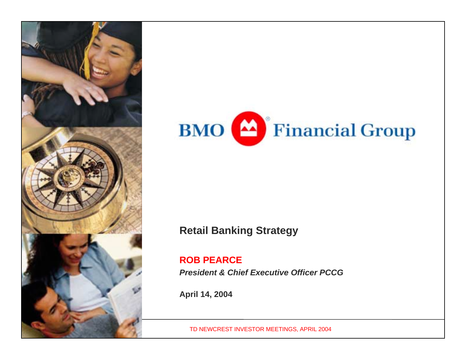



## **Retail Banking Strategy**

### **ROB PEARCE**

*President & Chief Executive Officer PCCG*

**April 14, 2004**

TD NEWCREST INVESTOR MEETINGS, APRIL 2004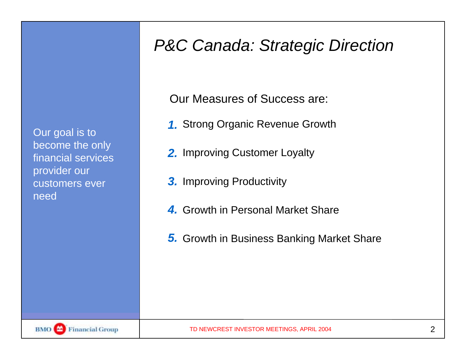Our goal is to become the only financial services provider our customers ever need

## *P&C Canada: Strategic Direction*

Our Measures of Success are:

- Strong Organic Revenue Growth *1.*
- **2.** Improving Customer Loyalty
- **3.** Improving Productivity
- Growth in Personal Market Share*4.*
- Growth in Business Banking Market Share *5.*

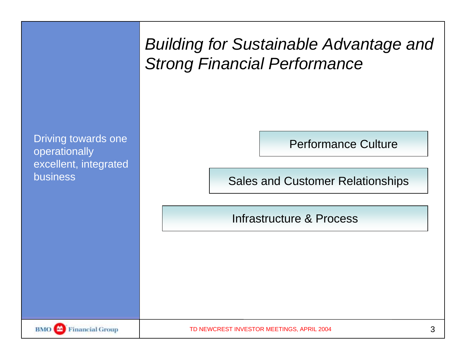|                                                                                  | <b>Building for Sustainable Advantage and</b><br><b>Strong Financial Performance</b>              |   |
|----------------------------------------------------------------------------------|---------------------------------------------------------------------------------------------------|---|
| Driving towards one<br>operationally<br>excellent, integrated<br><b>business</b> | <b>Performance Culture</b><br><b>Sales and Customer Relationships</b><br>Infrastructure & Process |   |
| BMO <sup>4</sup><br><b>Financial Group</b>                                       | TD NEWCREST INVESTOR MEETINGS, APRIL 2004                                                         | 3 |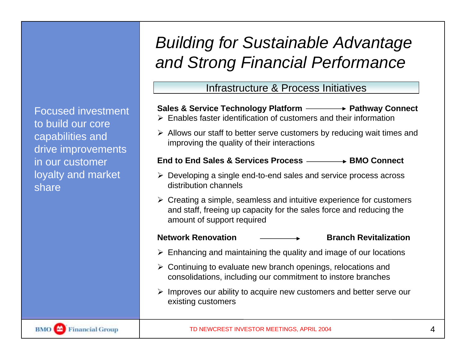Focused investment to build our core capabilities and drive improvements in our customer loyalty and market share

# *Building for Sustainable Advantage and Strong Financial Performance*

### Infrastructure & Process Initiatives

### **Sales & Service Technology Platform Pathway Connect**

- $\triangleright$  Enables faster identification of customers and their information
- $\triangleright$  Allows our staff to better serve customers by reducing wait times and improving the quality of their interactions

### **End to End Sales & Services Process BMO Connect**

- $\triangleright$  Developing a single end-to-end sales and service process across distribution channels
- $\triangleright$  Creating a simple, seamless and intuitive experience for customers and staff, freeing up capacity for the sales force and reducing the amount of support required

- **Network Renovation**  $\longrightarrow$  **Branch Revitalization**
- $\triangleright$  Enhancing and maintaining the quality and image of our locations
- $\triangleright$  Continuing to evaluate new branch openings, relocations and consolidations, including our commitment to instore branches
- $\triangleright$  Improves our ability to acquire new customers and better serve our existing customers

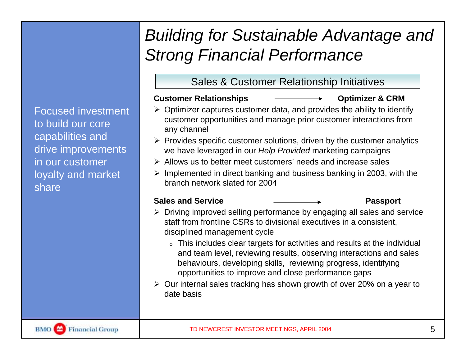## Focused investment to build our core capabilities and drive improvements in our customer loyalty and market share

# *Building for Sustainable Advantage and Strong Financial Performance*

## Sales & Customer Relationship Initiatives

### **Customer Relationships Optimizer & CRM**

- $\triangleright$  Optimizer captures customer data, and provides the ability to identify customer opportunities and manage prior customer interactions from any channel
- $\triangleright$  Provides specific customer solutions, driven by the customer analytics we have leveraged in our *Help Provided* marketing campaigns
- $\triangleright$  Allows us to better meet customers' needs and increase sales
- $\triangleright$  Implemented in direct banking and business banking in 2003, with the branch network slated for 2004

- **Sales and Service Passport**
- $\triangleright$  Driving improved selling performance by engaging all sales and service staff from frontline CSRs to divisional executives in a consistent, disciplined management cycle
	- o This includes clear targets for activities and results at the individual and team level, reviewing results, observing interactions and sales behaviours, developing skills, reviewing progress, identifying opportunities to improve and close performance gaps
- $\geq$  Our internal sales tracking has shown growth of over 20% on a year to date basis

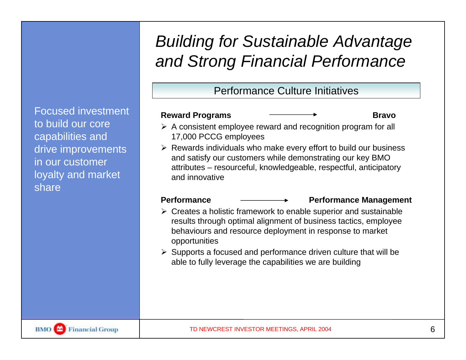## *Building for Sustainable Advantage and Strong Financial Performance*

Performance Culture Initiatives

### Reward Programs **Bravo Bravo Bravo**

- $\triangleright$  A consistent employee reward and recognition program for all 17,000 PCCG employees
- $\triangleright$  Rewards individuals who make every effort to build our business and satisfy our customers while demonstrating our key BMO attributes – resourceful, knowledgeable, respectful, anticipatory and innovative

### Performance <del>\_\_\_\_\_\_\_\_\_\_\_\_\_</del> Performance Management

- $\triangleright$  Creates a holistic framework to enable superior and sustainable results through optimal alignment of business tactics, employee behaviours and resource deployment in response to market opportunities
- $\triangleright$  Supports a focused and performance driven culture that will be able to fully leverage the capabilities we are building

Focused investment to build our core capabilities and drive improvements in our customer loyalty and market share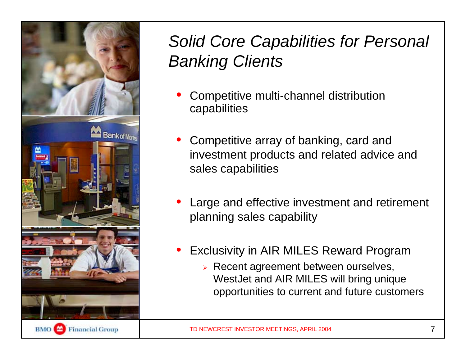

# *Solid Core Capabilities for Personal Banking Clients*

- $\bullet$  Competitive multi-channel distribution capabilities
- • Competitive array of banking, card and investment products and related advice and sales capabilities
- • Large and effective investment and retirement planning sales capability
- • Exclusivity in AIR MILES Reward Program
	- **EXECENT agreement between ourselves,** WestJet and AIR MILES will bring unique opportunities to current and future customers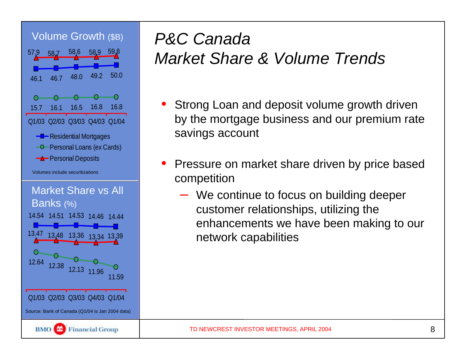

# *P&C Canada Market Share & Volume Trends*

- Strong Loan and deposit volume growth driven by the mortgage business and our premium rate savings account
- • Pressure on market share driven by price based competition
	- We continue to focus on building deeper customer relationships, utilizing the enhancements we have been making to our network capabilities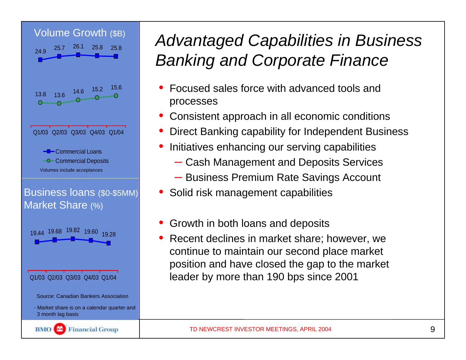

# *Advantaged Capabilities in Business Banking and Corporate Finance*

- • Focused sales force with advanced tools and processes
- •Consistent approach in all economic conditions
- •Direct Banking capability for Independent Business
- • Initiatives enhancing our serving capabilities
	- Cash Management and Deposits Services
	- Business Premium Rate Savings Account
- •Solid risk management capabilities
- •Growth in both loans and deposits
- • Recent declines in market share; however, we continue to maintain our second place market position and have closed the gap to the market leader by more than 190 bps since 2001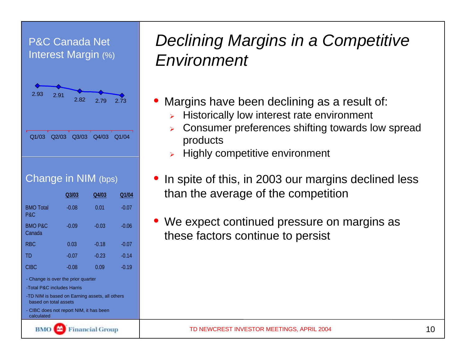## P&C Canada Net Interest Margin (%)



## Change in NIM (bps)

|                                                                         | Q3/03   | Q4/03   | Q1/04   |  |  |  |
|-------------------------------------------------------------------------|---------|---------|---------|--|--|--|
| <b>BMO Total</b><br>P&C                                                 | $-0.08$ | 0.01    | $-0.07$ |  |  |  |
| <b>BMO P&amp;C</b><br>Canada                                            | $-0.09$ | $-0.03$ | $-0.06$ |  |  |  |
| R <sub>BC</sub>                                                         | 0.03    | $-0.18$ | $-0.07$ |  |  |  |
| TD                                                                      | $-0.07$ | $-0.23$ | $-0.14$ |  |  |  |
| <b>CIBC</b>                                                             | $-0.08$ | 0.09    | $-0.19$ |  |  |  |
| - Change is over the prior quarter                                      |         |         |         |  |  |  |
| -Total P&C includes Harris                                              |         |         |         |  |  |  |
| -TD NIM is based on Earning assets, all others<br>based on total assets |         |         |         |  |  |  |
| - CIBC does not report NIM, it has been<br>calculated                   |         |         |         |  |  |  |
| inancial Group                                                          |         |         |         |  |  |  |

## *Declining Margins in a Competitive Environment*

- $\bullet$  Margins have been declining as a result of:
	- $\blacktriangleright$ Historically low interest rate environment
	- $\blacktriangleright$  Consumer preferences shifting towards low spread products
	- $\triangleright$  Highly competitive environment
- • In spite of this, in 2003 our margins declined less than the average of the competition
- • We expect continued pressure on margins as these factors continue to persist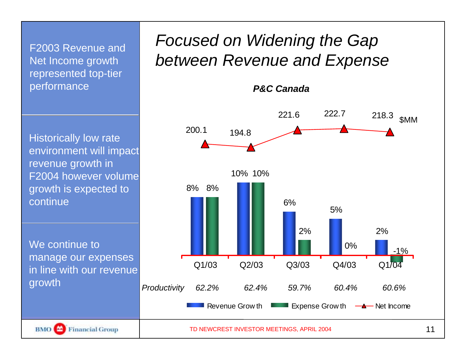F2003 Revenue and Net Income growth represented top-tier performance

Historically low rate environment will impact revenue growth in F2004 however volume growth is expected to continue

We continue to manage our expenses in line with our revenue growth

## *Focused on Widening the Gap between Revenue and Expense*

*P&C Canada*





TD NEWCREST INVESTOR MEETINGS, APRIL 2004 11 11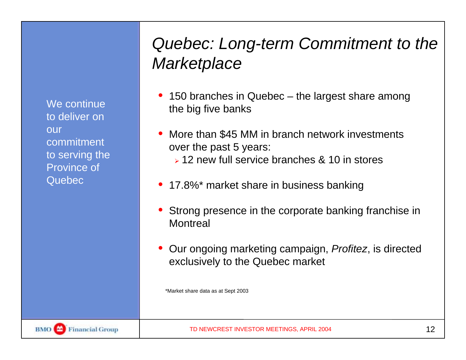We continue to deliver on our commitment to serving the Province of Quebec

# *Quebec: Long-term Commitment to the Marketplace*

- • 150 branches in Quebec – the largest share among the big five banks
- • More than \$45 MM in branch network investments over the past 5 years:
	- $\geq$  12 new full service branches & 10 in stores
- •17.8%\* market share in business banking
- • Strong presence in the corporate banking franchise in **Montreal**
- Our ongoing marketing campaign, *Profitez*, is directed exclusively to the Quebec market

\*Market share data as at Sept 2003